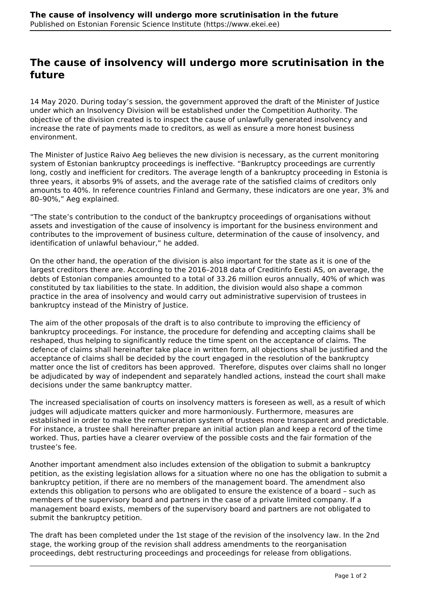## **The cause of insolvency will undergo more scrutinisation in the future**

14 May 2020. During today's session, the government approved the draft of the Minister of Justice under which an Insolvency Division will be established under the Competition Authority. The objective of the division created is to inspect the cause of unlawfully generated insolvency and increase the rate of payments made to creditors, as well as ensure a more honest business environment.

The Minister of Justice Raivo Aeg believes the new division is necessary, as the current monitoring system of Estonian bankruptcy proceedings is ineffective. "Bankruptcy proceedings are currently long, costly and inefficient for creditors. The average length of a bankruptcy proceeding in Estonia is three years, it absorbs 9% of assets, and the average rate of the satisfied claims of creditors only amounts to 40%. In reference countries Finland and Germany, these indicators are one year, 3% and 80–90%," Aeg explained.

"The state's contribution to the conduct of the bankruptcy proceedings of organisations without assets and investigation of the cause of insolvency is important for the business environment and contributes to the improvement of business culture, determination of the cause of insolvency, and identification of unlawful behaviour," he added.

On the other hand, the operation of the division is also important for the state as it is one of the largest creditors there are. According to the 2016–2018 data of Creditinfo Eesti AS, on average, the debts of Estonian companies amounted to a total of 33.26 million euros annually, 40% of which was constituted by tax liabilities to the state. In addition, the division would also shape a common practice in the area of insolvency and would carry out administrative supervision of trustees in bankruptcy instead of the Ministry of Justice.

The aim of the other proposals of the draft is to also contribute to improving the efficiency of bankruptcy proceedings. For instance, the procedure for defending and accepting claims shall be reshaped, thus helping to significantly reduce the time spent on the acceptance of claims. The defence of claims shall hereinafter take place in written form, all objections shall be justified and the acceptance of claims shall be decided by the court engaged in the resolution of the bankruptcy matter once the list of creditors has been approved. Therefore, disputes over claims shall no longer be adjudicated by way of independent and separately handled actions, instead the court shall make decisions under the same bankruptcy matter.

The increased specialisation of courts on insolvency matters is foreseen as well, as a result of which judges will adjudicate matters quicker and more harmoniously. Furthermore, measures are established in order to make the remuneration system of trustees more transparent and predictable. For instance, a trustee shall hereinafter prepare an initial action plan and keep a record of the time worked. Thus, parties have a clearer overview of the possible costs and the fair formation of the trustee's fee.

Another important amendment also includes extension of the obligation to submit a bankruptcy petition, as the existing legislation allows for a situation where no one has the obligation to submit a bankruptcy petition, if there are no members of the management board. The amendment also extends this obligation to persons who are obligated to ensure the existence of a board – such as members of the supervisory board and partners in the case of a private limited company. If a management board exists, members of the supervisory board and partners are not obligated to submit the bankruptcy petition.

The draft has been completed under the 1st stage of the revision of the insolvency law. In the 2nd stage, the working group of the revision shall address amendments to the reorganisation proceedings, debt restructuring proceedings and proceedings for release from obligations.